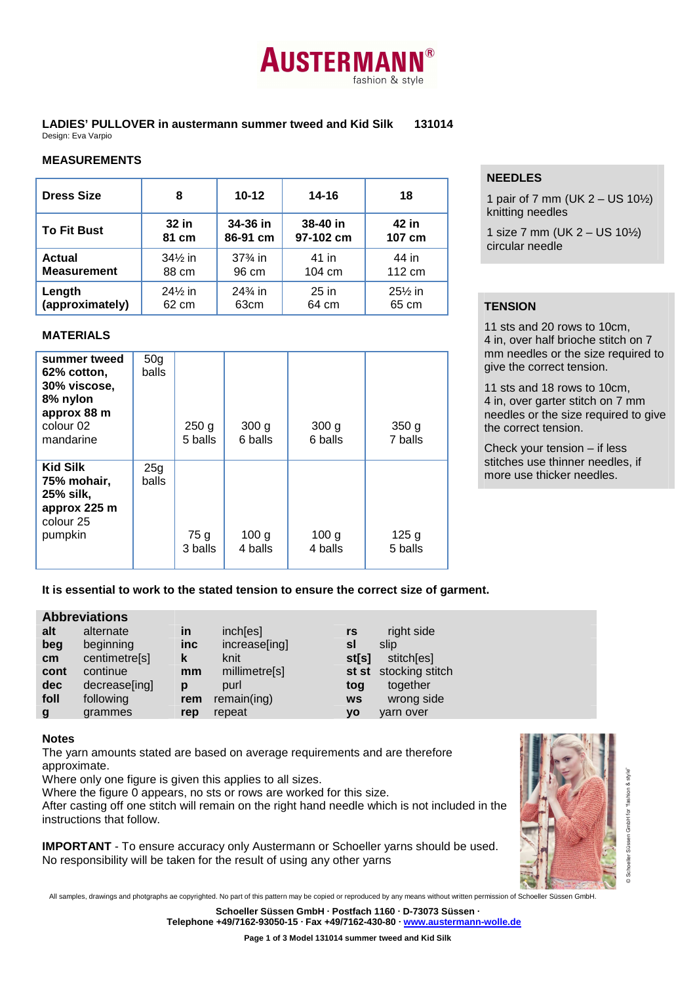

**LADIES' PULLOVER in austermann summer tweed and Kid Silk 131014**  Design: Eva Varpio

## **NEEDLES**

1 pair of 7 mm (UK  $2 - US 10\frac{1}{2}$ ) knitting needles

1 size 7 mm (UK 2 – US 10½) circular needle

## 65 cm **TENSION**

11 sts and 20 rows to 10cm, 4 in, over half brioche stitch on 7 mm needles or the size required to give the correct tension.

11 sts and 18 rows to 10cm, 4 in, over garter stitch on 7 mm needles or the size required to give the correct tension.

Check your tension – if less stitches use thinner needles, if more use thicker needles.

# **MEASUREMENTS**

| <b>Dress Size</b>  | 8                  | $10 - 12$                         | 14-16     | 18                 |
|--------------------|--------------------|-----------------------------------|-----------|--------------------|
| <b>To Fit Bust</b> | 32 in              | 34-36 in                          | 38-40 in  | 42 in              |
|                    | 81 cm              | 86-91 cm                          | 97-102 cm | 107 cm             |
| <b>Actual</b>      | $34\%$ in          | $37\frac{3}{4}$ in                | 41 in     | 44 in              |
| <b>Measurement</b> | 88 cm              | 96 cm                             | 104 cm    | 112 cm             |
| Length             | $24\frac{1}{2}$ in | 24 <sup>3</sup> / <sub>4</sub> in | $25$ in   | $25\frac{1}{2}$ in |
| (approximately)    | 62 cm              | 63 <sub>cm</sub>                  | 64 cm     | 65 cm              |

### **MATERIALS**

| summer tweed<br>62% cotton,<br>30% viscose,<br>8% nylon<br>approx 88 m<br>colour 02<br>mandarine | 50 <sub>g</sub><br><b>balls</b> | 250 <sub>g</sub><br>5 balls | 300 <sub>g</sub><br>6 balls | 300 <sub>g</sub><br>6 balls | 350 <sub>g</sub><br>7 balls |
|--------------------------------------------------------------------------------------------------|---------------------------------|-----------------------------|-----------------------------|-----------------------------|-----------------------------|
| <b>Kid Silk</b><br>75% mohair,<br>25% silk,<br>approx 225 m<br>colour 25<br>pumpkin              | 25g<br>balls                    | 75 g<br>3 balls             | 100 <sub>g</sub><br>4 balls | 100 <sub>g</sub><br>4 balls | 125 <sub>g</sub><br>5 balls |

**It is essential to work to the stated tension to ensure the correct size of garment.** 

|  | <b>Abbreviations</b> |
|--|----------------------|
|  |                      |
|  |                      |

|                 | <b>ANNI GVIALIVII 13</b> |            |               |           |                       |
|-----------------|--------------------------|------------|---------------|-----------|-----------------------|
| alt             | alternate                | <b>in</b>  | inch[es]      | rs        | right side            |
| beg             | beginning                | <b>inc</b> | increase[ing] | sl        | slip                  |
| cm <sub>2</sub> | centimetre[s]            | k          | knit          | st[s]     | stitch[es]            |
| cont            | continue                 | mm         | millimetre[s] |           | st st stocking stitch |
| <b>dec</b>      | decrease[ing]            | p          | purl          | tog       | together              |
| foll            | following                | rem        | remain(ing)   | <b>WS</b> | wrong side            |
| g               | grammes                  | rep        | repeat        | yo        | varn over             |
|                 |                          |            |               |           |                       |

#### **Notes**

The yarn amounts stated are based on average requirements and are therefore approximate.

Where only one figure is given this applies to all sizes.

Where the figure 0 appears, no sts or rows are worked for this size.

After casting off one stitch will remain on the right hand needle which is not included in the instructions that follow.

**IMPORTANT** - To ensure accuracy only Austermann or Schoeller yarns should be used. No responsibility will be taken for the result of using any other yarns



All samples, drawings and photgraphs ae copyrighted. No part of this pattern may be copied or reproduced by any means without written permission of Schoeller Süssen GmbH.

**Schoeller Süssen GmbH · Postfach 1160 · D-73073 Süssen · Telephone +49/7162-93050-15 · Fax +49/7162-430-80 · www.austermann-wolle.de**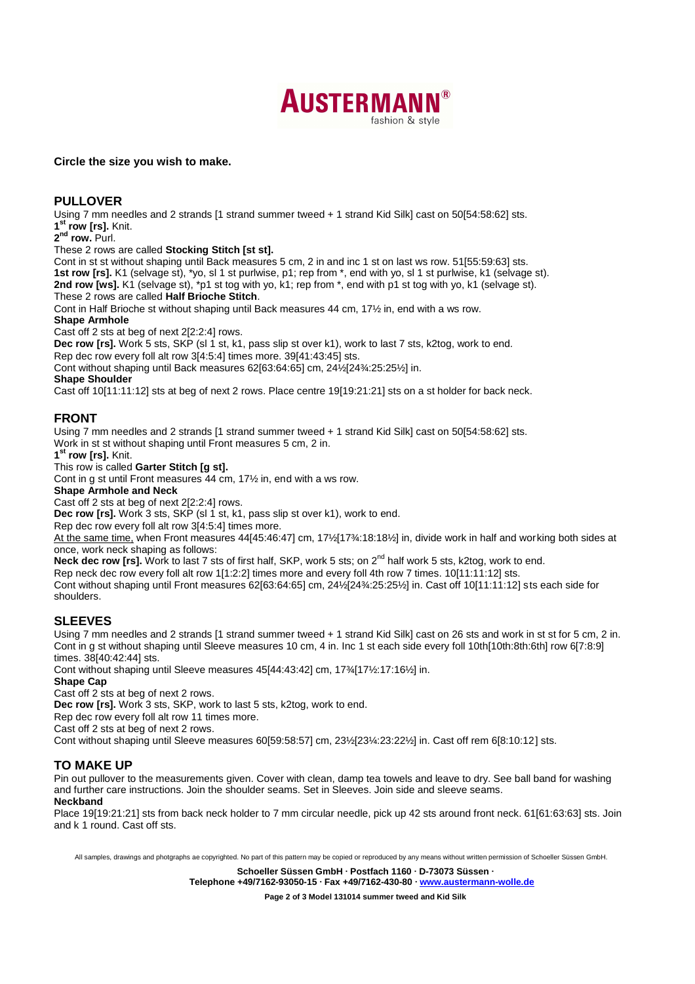

### **Circle the size you wish to make.**

## **PULLOVER**

Using 7 mm needles and 2 strands [1 strand summer tweed + 1 strand Kid Silk] cast on 50[54:58:62] sts. **1 st row [rs].** Knit.

**2 nd row.** Purl.

These 2 rows are called **Stocking Stitch [st st].**

Cont in st st without shaping until Back measures 5 cm, 2 in and inc 1 st on last ws row. 51[55:59:63] sts. **1st row [rs].** K1 (selvage st), \*yo, sl 1 st purlwise, p1; rep from \*, end with yo, sl 1 st purlwise, k1 (selvage st). 2nd row [ws]. K1 (selvage st), \*p1 st tog with yo, k1; rep from \*, end with p1 st tog with yo, k1 (selvage st). These 2 rows are called **Half Brioche Stitch**.

Cont in Half Brioche st without shaping until Back measures 44 cm, 17½ in, end with a ws row.

#### **Shape Armhole**

Cast off 2 sts at beg of next 2[2:2:4] rows.

**Dec row [rs].** Work 5 sts, SKP (sl 1 st, k1, pass slip st over k1), work to last 7 sts, k2tog, work to end. Rep dec row every foll alt row 3[4:5:4] times more. 39[41:43:45] sts.

Cont without shaping until Back measures 62[63:64:65] cm, 24½[24¾:25:25½] in.

#### **Shape Shoulder**

Cast off 10[11:11:12] sts at beg of next 2 rows. Place centre 19[19:21:21] sts on a st holder for back neck.

## **FRONT**

Using 7 mm needles and 2 strands [1 strand summer tweed + 1 strand Kid Silk] cast on 50[54:58:62] sts. Work in st st without shaping until Front measures 5 cm, 2 in.

**1 st row [rs].** Knit.

This row is called **Garter Stitch [g st].**

Cont in g st until Front measures 44 cm, 17½ in, end with a ws row.

**Shape Armhole and Neck** 

Cast off 2 sts at beg of next 2[2:2:4] rows.

**Dec row [rs].** Work 3 sts, SKP (sl 1 st, k1, pass slip st over k1), work to end.

Rep dec row every foll alt row 3[4:5:4] times more.

At the same time, when Front measures 44[45:46:47] cm, 17½[17¾:18:18½] in, divide work in half and working both sides at once, work neck shaping as follows:

**Neck dec row [rs].** Work to last 7 sts of first half, SKP, work 5 sts; on 2nd half work 5 sts, k2tog, work to end.

Rep neck dec row every foll alt row 1[1:2:2] times more and every foll 4th row 7 times. 10[11:11:12] sts.

Cont without shaping until Front measures 62[63:64:65] cm, 24½[24¾:25:25½] in. Cast off 10[11:11:12] sts each side for shoulders.

### **SLEEVES**

Using 7 mm needles and 2 strands [1 strand summer tweed + 1 strand Kid Silk] cast on 26 sts and work in st st for 5 cm, 2 in. Cont in g st without shaping until Sleeve measures 10 cm, 4 in. Inc 1 st each side every foll 10th[10th:8th:6th] row 6[7:8:9] times. 38[40:42:44] sts.

Cont without shaping until Sleeve measures 45[44:43:42] cm, 17¾[17½:17:16½] in.

## **Shape Cap**

Cast off 2 sts at beg of next 2 rows.

**Dec row [rs].** Work 3 sts, SKP, work to last 5 sts, k2tog, work to end.

Rep dec row every foll alt row 11 times more.

Cast off 2 sts at beg of next 2 rows.

Cont without shaping until Sleeve measures 60[59:58:57] cm, 23½[23¼:23:22½] in. Cast off rem 6[8:10:12] sts.

# **TO MAKE UP**

Pin out pullover to the measurements given. Cover with clean, damp tea towels and leave to dry. See ball band for washing and further care instructions. Join the shoulder seams. Set in Sleeves. Join side and sleeve seams. **Neckband** 

Place 19[19:21:21] sts from back neck holder to 7 mm circular needle, pick up 42 sts around front neck. 61[61:63:63] sts. Join and k 1 round. Cast off sts.

All samples, drawings and photgraphs ae copyrighted. No part of this pattern may be copied or reproduced by any means without written permission of Schoeller Süssen GmbH.

**Schoeller Süssen GmbH · Postfach 1160 · D-73073 Süssen ·**

**Telephone +49/7162-93050-15 · Fax +49/7162-430-80 · www.austermann-wolle.de**

**Page 2 of 3 Model 131014 summer tweed and Kid Silk**